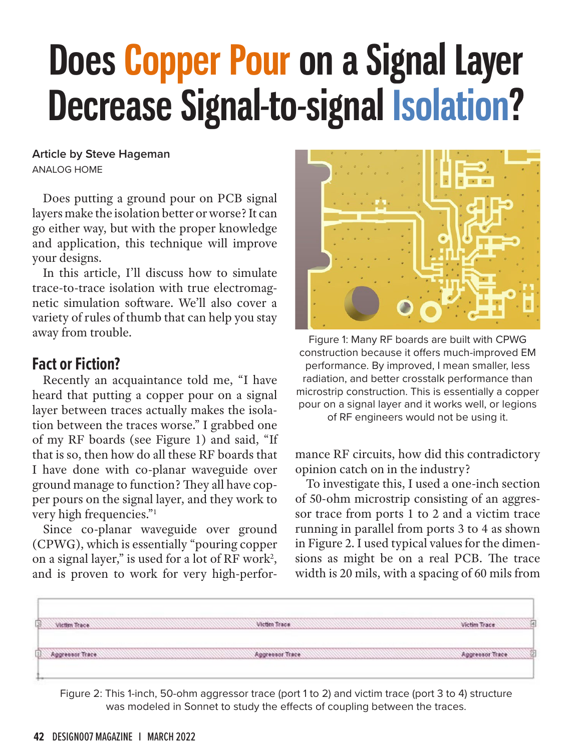# **Does Copper Pour on a Signal Layer Decrease Signal-to-signal Isolation?**

**Article by Steve Hageman** ANALOG HOME

Does putting a ground pour on PCB signal layers make the isolation better or worse? It can go either way, but with the proper knowledge and application, this technique will improve your designs.

In this article, I'll discuss how to simulate trace-to-trace isolation with true electromagnetic simulation software. We'll also cover a variety of rules of thumb that can help you stay away from trouble.

## **Fact or Fiction?**

Recently an acquaintance told me, "I have heard that putting a copper pour on a signal layer between traces actually makes the isolation between the traces worse." I grabbed one of my RF boards (see Figure 1) and said, "If that is so, then how do all these RF boards that I have done with co-planar waveguide over ground manage to function? They all have copper pours on the signal layer, and they work to very high frequencies."1

Since co-planar waveguide over ground (CPWG), which is essentially "pouring copper on a signal layer," is used for a lot of RF work<sup>2</sup>, and is proven to work for very high-perfor-



Figure 1: Many RF boards are built with CPWG construction because it offers much-improved EM performance. By improved, I mean smaller, less radiation, and better crosstalk performance than microstrip construction. This is essentially a copper pour on a signal layer and it works well, or legions of RF engineers would not be using it.

mance RF circuits, how did this contradictory opinion catch on in the industry?

To investigate this, I used a one-inch section of 50-ohm microstrip consisting of an aggressor trace from ports 1 to 2 and a victim trace running in parallel from ports 3 to 4 as shown in Figure 2. I used typical values for the dimensions as might be on a real PCB. The trace width is 20 mils, with a spacing of 60 mils from



Figure 2: This 1-inch, 50-ohm aggressor trace (port 1 to 2) and victim trace (port 3 to 4) structure was modeled in Sonnet to study the effects of coupling between the traces.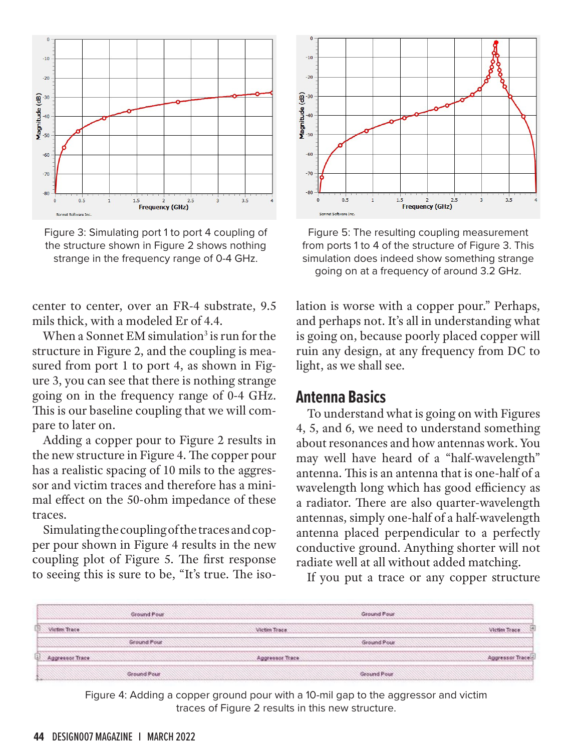

Figure 3: Simulating port 1 to port 4 coupling of the structure shown in Figure 2 shows nothing strange in the frequency range of 0-4 GHz.

center to center, over an FR-4 substrate, 9.5 mils thick, with a modeled Er of 4.4.

When a Sonnet EM simulation<sup>3</sup> is run for the structure in Figure 2, and the coupling is measured from port 1 to port 4, as shown in Figure 3, you can see that there is nothing strange going on in the frequency range of 0-4 GHz. This is our baseline coupling that we will compare to later on.

Adding a copper pour to Figure 2 results in the new structure in Figure 4. The copper pour has a realistic spacing of 10 mils to the aggressor and victim traces and therefore has a minimal effect on the 50-ohm impedance of these traces.

Simulating the coupling of the traces and copper pour shown in Figure 4 results in the new coupling plot of Figure 5. The first response to seeing this is sure to be, "It's true. The iso-



Figure 5: The resulting coupling measurement from ports 1 to 4 of the structure of Figure 3. This simulation does indeed show something strange going on at a frequency of around 3.2 GHz.

lation is worse with a copper pour." Perhaps, and perhaps not. It's all in understanding what is going on, because poorly placed copper will ruin any design, at any frequency from DC to light, as we shall see.

#### **Antenna Basics**

To understand what is going on with Figures 4, 5, and 6, we need to understand something about resonances and how antennas work. You may well have heard of a "half-wavelength" antenna. This is an antenna that is one-half of a wavelength long which has good efficiency as a radiator. There are also quarter-wavelength antennas, simply one-half of a half-wavelength antenna placed perpendicular to a perfectly conductive ground. Anything shorter will not radiate well at all without added matching.

If you put a trace or any copper structure

|                 | Ground Pour |                 | Ground Pour |                 |
|-----------------|-------------|-----------------|-------------|-----------------|
| Victor Trace    |             | Victim Trace    |             | Victim Trace    |
|                 | Ground Pour |                 | Ground Pour |                 |
| Aggressor Trace |             | Aggressor Trace |             | Aggressor Trace |
|                 | Ground Pour |                 | Ground Pour |                 |

Figure 4: Adding a copper ground pour with a 10-mil gap to the aggressor and victim traces of Figure 2 results in this new structure.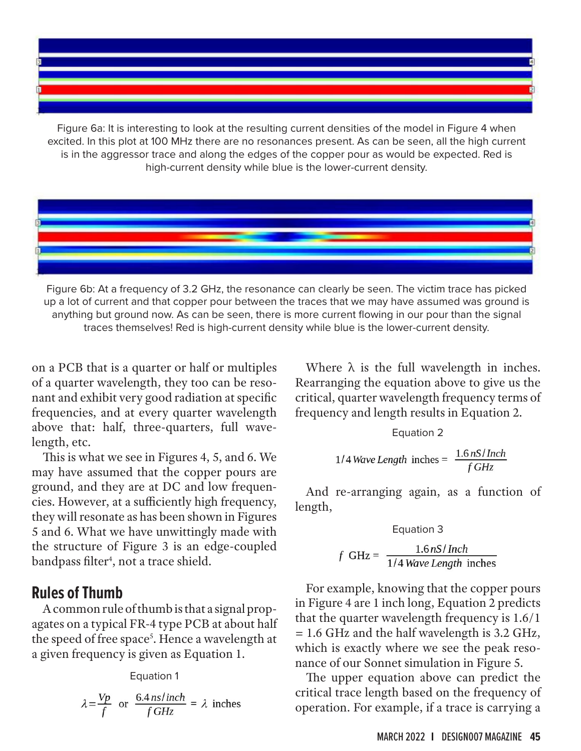Figure 6a: It is interesting to look at the resulting current densities of the model in Figure 4 when excited. In this plot at 100 MHz there are no resonances present. As can be seen, all the high current is in the aggressor trace and along the edges of the copper pour as would be expected. Red is high-current density while blue is the lower-current density.



Figure 6b: At a frequency of 3.2 GHz, the resonance can clearly be seen. The victim trace has picked up a lot of current and that copper pour between the traces that we may have assumed was ground is anything but ground now. As can be seen, there is more current flowing in our pour than the signal traces themselves! Red is high-current density while blue is the lower-current density.

on a PCB that is a quarter or half or multiples of a quarter wavelength, they too can be resonant and exhibit very good radiation at specific frequencies, and at every quarter wavelength above that: half, three-quarters, full wavelength, etc.

This is what we see in Figures 4, 5, and 6. We may have assumed that the copper pours are ground, and they are at DC and low frequencies. However, at a sufficiently high frequency, they will resonate as has been shown in Figures 5 and 6. What we have unwittingly made with the structure of Figure 3 is an edge-coupled bandpass filter<sup>4</sup>, not a trace shield.

#### **Rules of Thumb**

A common rule of thumb is that a signal propagates on a typical FR-4 type PCB at about half the speed of free space<sup>5</sup>. Hence a wavelength at a given frequency is given as Equation 1.

Equation 1

$$
\lambda = \frac{Vp}{f}
$$
 or  $\frac{6.4 \text{ ns} / \text{inch}}{f \text{ GHz}} = \lambda$  inches

Where  $\lambda$  is the full wavelength in inches. Rearranging the equation above to give us the critical, quarter wavelength frequency terms of frequency and length results in Equation 2.

Equation 2

$$
1/4 \text{ Wave Length inches} = \frac{1.6 \text{ nS} / \text{Inch}}{f \text{ GHz}}
$$

And re-arranging again, as a function of length,

Equation 3

$$
f\ \text{GHz} = \frac{1.6 \text{ nS}}{1/4 \text{ Wave Length inches}}
$$

For example, knowing that the copper pours in Figure 4 are 1 inch long, Equation 2 predicts that the quarter wavelength frequency is 1.6/1 = 1.6 GHz and the half wavelength is 3.2 GHz, which is exactly where we see the peak resonance of our Sonnet simulation in Figure 5.

The upper equation above can predict the critical trace length based on the frequency of operation. For example, if a trace is carrying a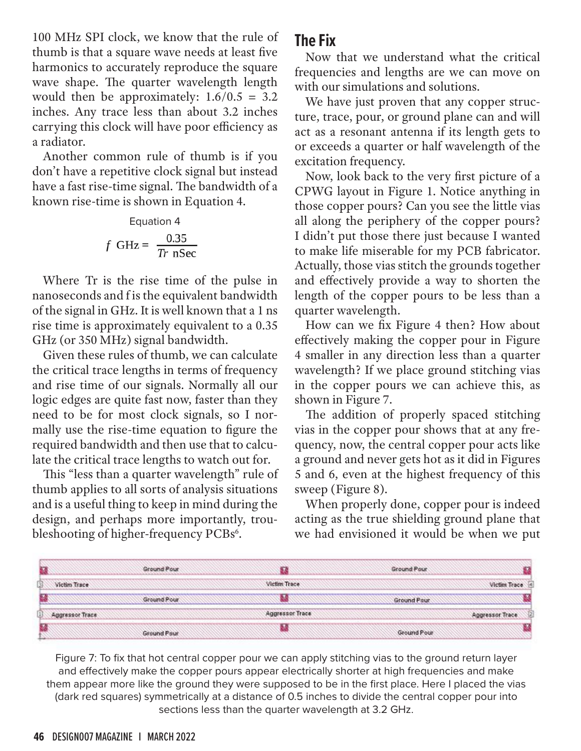100 MHz SPI clock, we know that the rule of thumb is that a square wave needs at least five harmonics to accurately reproduce the square wave shape. The quarter wavelength length would then be approximately:  $1.6/0.5 = 3.2$ inches. Any trace less than about 3.2 inches carrying this clock will have poor efficiency as a radiator.

Another common rule of thumb is if you don't have a repetitive clock signal but instead have a fast rise-time signal. The bandwidth of a known rise-time is shown in Equation 4.

Equation 4  

$$
f \text{ GHz} = \frac{0.35}{Tr \text{ nSec}}
$$

Where Tr is the rise time of the pulse in nanoseconds and f is the equivalent bandwidth of the signal in GHz. It is well known that a 1 ns rise time is approximately equivalent to a 0.35 GHz (or 350 MHz) signal bandwidth.

Given these rules of thumb, we can calculate the critical trace lengths in terms of frequency and rise time of our signals. Normally all our logic edges are quite fast now, faster than they need to be for most clock signals, so I normally use the rise-time equation to figure the required bandwidth and then use that to calculate the critical trace lengths to watch out for.

This "less than a quarter wavelength" rule of thumb applies to all sorts of analysis situations and is a useful thing to keep in mind during the design, and perhaps more importantly, troubleshooting of higher-frequency PCBs<sup>6</sup>.

## **The Fix**

Now that we understand what the critical frequencies and lengths are we can move on with our simulations and solutions.

We have just proven that any copper structure, trace, pour, or ground plane can and will act as a resonant antenna if its length gets to or exceeds a quarter or half wavelength of the excitation frequency.

Now, look back to the very first picture of a CPWG layout in Figure 1. Notice anything in those copper pours? Can you see the little vias all along the periphery of the copper pours? I didn't put those there just because I wanted to make life miserable for my PCB fabricator. Actually, those vias stitch the grounds together and effectively provide a way to shorten the length of the copper pours to be less than a quarter wavelength.

How can we fix Figure 4 then? How about effectively making the copper pour in Figure 4 smaller in any direction less than a quarter wavelength? If we place ground stitching vias in the copper pours we can achieve this, as shown in Figure 7.

The addition of properly spaced stitching vias in the copper pour shows that at any frequency, now, the central copper pour acts like a ground and never gets hot as it did in Figures 5 and 6, even at the highest frequency of this sweep (Figure 8).

When properly done, copper pour is indeed acting as the true shielding ground plane that we had envisioned it would be when we put



Figure 7: To fix that hot central copper pour we can apply stitching vias to the ground return layer and effectively make the copper pours appear electrically shorter at high frequencies and make them appear more like the ground they were supposed to be in the first place. Here I placed the vias (dark red squares) symmetrically at a distance of 0.5 inches to divide the central copper pour into sections less than the quarter wavelength at 3.2 GHz.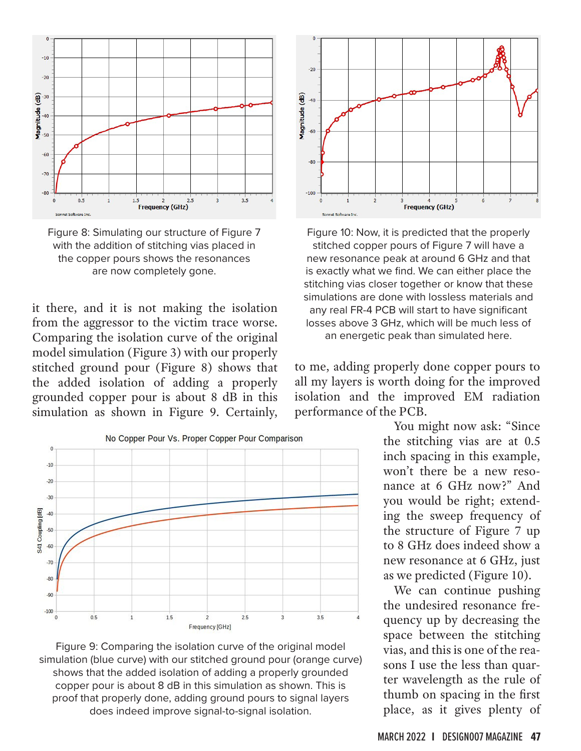

Figure 8: Simulating our structure of Figure 7 with the addition of stitching vias placed in the copper pours shows the resonances are now completely gone.

it there, and it is not making the isolation from the aggressor to the victim trace worse. Comparing the isolation curve of the original model simulation (Figure 3) with our properly stitched ground pour (Figure 8) shows that the added isolation of adding a properly grounded copper pour is about 8 dB in this simulation as shown in Figure 9. Certainly,



Figure 9: Comparing the isolation curve of the original model simulation (blue curve) with our stitched ground pour (orange curve) shows that the added isolation of adding a properly grounded copper pour is about 8 dB in this simulation as shown. This is proof that properly done, adding ground pours to signal layers does indeed improve signal-to-signal isolation.



Figure 10: Now, it is predicted that the properly stitched copper pours of Figure 7 will have a new resonance peak at around 6 GHz and that is exactly what we find. We can either place the stitching vias closer together or know that these simulations are done with lossless materials and any real FR-4 PCB will start to have significant losses above 3 GHz, which will be much less of an energetic peak than simulated here.

to me, adding properly done copper pours to all my layers is worth doing for the improved isolation and the improved EM radiation performance of the PCB.

> You might now ask: "Since the stitching vias are at 0.5 inch spacing in this example, won't there be a new resonance at 6 GHz now?" And you would be right; extending the sweep frequency of the structure of Figure 7 up to 8 GHz does indeed show a new resonance at 6 GHz, just as we predicted (Figure 10).

> We can continue pushing the undesired resonance frequency up by decreasing the space between the stitching vias, and this is one of the reasons I use the less than quarter wavelength as the rule of thumb on spacing in the first place, as it gives plenty of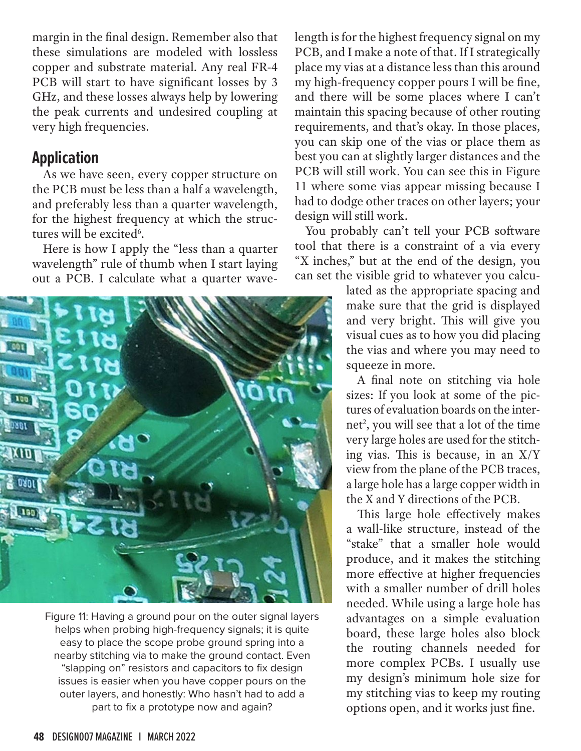margin in the final design. Remember also that these simulations are modeled with lossless copper and substrate material. Any real FR-4 PCB will start to have significant losses by 3 GHz, and these losses always help by lowering the peak currents and undesired coupling at very high frequencies.

## **Application**

As we have seen, every copper structure on the PCB must be less than a half a wavelength, and preferably less than a quarter wavelength, for the highest frequency at which the structures will be excited<sup>6</sup>.

Here is how I apply the "less than a quarter wavelength" rule of thumb when I start laying out a PCB. I calculate what a quarter wave-

![](_page_5_Picture_4.jpeg)

Figure 11: Having a ground pour on the outer signal layers helps when probing high-frequency signals; it is quite easy to place the scope probe ground spring into a nearby stitching via to make the ground contact. Even "slapping on" resistors and capacitors to fix design issues is easier when you have copper pours on the outer layers, and honestly: Who hasn't had to add a part to fix a prototype now and again?

length is for the highest frequency signal on my PCB, and I make a note of that. If I strategically place my vias at a distance less than this around my high-frequency copper pours I will be fine, and there will be some places where I can't maintain this spacing because of other routing requirements, and that's okay. In those places, you can skip one of the vias or place them as best you can at slightly larger distances and the PCB will still work. You can see this in Figure 11 where some vias appear missing because I had to dodge other traces on other layers; your design will still work.

You probably can't tell your PCB software tool that there is a constraint of a via every "X inches," but at the end of the design, you can set the visible grid to whatever you calcu-

> lated as the appropriate spacing and make sure that the grid is displayed and very bright. This will give you visual cues as to how you did placing the vias and where you may need to squeeze in more.

> A final note on stitching via hole sizes: If you look at some of the pictures of evaluation boards on the internet<sup>2</sup>, you will see that a lot of the time very large holes are used for the stitching vias. This is because, in an X/Y view from the plane of the PCB traces, a large hole has a large copper width in the X and Y directions of the PCB.

> This large hole effectively makes a wall-like structure, instead of the "stake" that a smaller hole would produce, and it makes the stitching more effective at higher frequencies with a smaller number of drill holes needed. While using a large hole has advantages on a simple evaluation board, these large holes also block the routing channels needed for more complex PCBs. I usually use my design's minimum hole size for my stitching vias to keep my routing options open, and it works just fine.